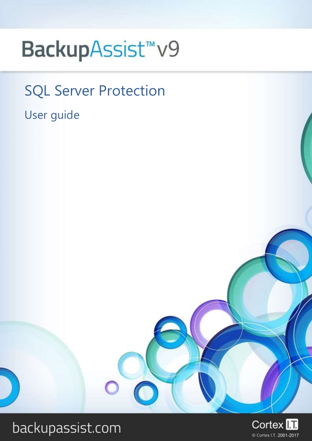# BackupAssist<sup>™</sup>v9

SQL Server Protection

User guide



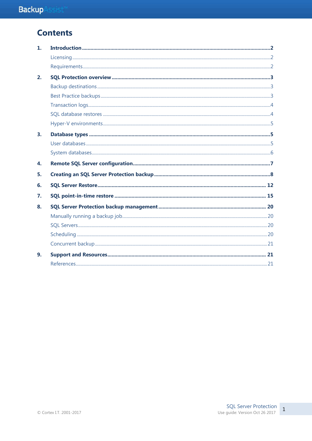## **Contents**

| $\mathbf{1}$ . |  |
|----------------|--|
|                |  |
|                |  |
| 2.             |  |
|                |  |
|                |  |
|                |  |
|                |  |
|                |  |
| 3 <sub>1</sub> |  |
|                |  |
|                |  |
| 4.             |  |
| 5.             |  |
| 6.             |  |
| 7.             |  |
| 8.             |  |
|                |  |
|                |  |
|                |  |
|                |  |
| 9.             |  |
|                |  |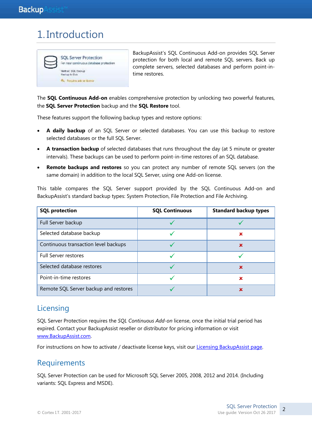## 1. Introduction



BackupAssist's SQL Continuous Add-on provides SQL Server protection for both local and remote SQL servers. Back up complete servers, selected databases and perform point-intime restores.

The **SQL Continuous Add-on** enables comprehensive protection by unlocking two powerful features, the **SQL Server Protection** backup and the **SQL Restore** tool.

These features support the following backup types and restore options:

- **A daily backup** of an SQL Server or selected databases. You can use this backup to restore selected databases or the full SQL Server.
- **A transaction backup** of selected databases that runs throughout the day (at 5 minute or greater intervals). These backups can be used to perform point-in-time restores of an SQL database.
- **Remote backups and restores** so you can protect any number of remote SQL servers (on the same domain) in addition to the local SQL Server, using one Add-on license.

This table compares the SQL Server support provided by the SQL Continuous Add-on and BackupAssist's standard backup types: System Protection, File Protection and File Archiving.

| <b>SQL protection</b>                 | <b>SQL Continuous</b> | <b>Standard backup types</b> |
|---------------------------------------|-----------------------|------------------------------|
| Full Server backup                    |                       |                              |
| Selected database backup              |                       | ×                            |
| Continuous transaction level backups  |                       | x                            |
| <b>Full Server restores</b>           |                       |                              |
| Selected database restores            |                       | x                            |
| Point-in-time restores                |                       | ×                            |
| Remote SQL Server backup and restores |                       | ×                            |

## **Licensing**

SQL Server Protection requires the *SQL Continuous Add-on* license, once the initial trial period has expired. Contact your BackupAssist reseller or distributor for pricing information or visit [www.BackupAssist.com.](http://www.backupassist.com/)

For instructions on how to activate / deactivate license keys, visit our [Licensing BackupAssist page.](http://www.backupassist.com/education/v9/backupassist/backupassist-licensing-guide.html)

### **Requirements**

SQL Server Protection can be used for Microsoft SQL Server 2005, 2008, 2012 and 2014. (Including variants: SQL Express and MSDE).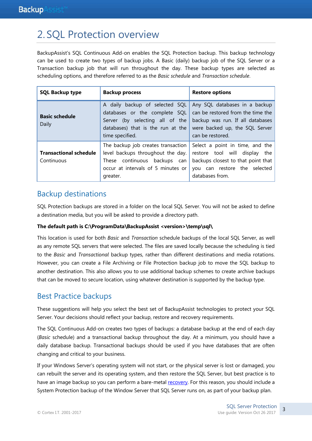## 2. SQL Protection overview

BackupAssist's SQL Continuous Add-on enables the SQL Protection backup. This backup technology can be used to create two types of backup jobs. A Basic (daily) backup job of the SQL Server or a Transaction backup job that will run throughout the day. These backup types are selected as scheduling options, and therefore referred to as the *Basic schedule* and *Transaction schedule*.

| <b>SQL Backup type</b>                      | <b>Backup process</b>                                                                                                                                      | <b>Restore options</b>                                                                                                                                       |
|---------------------------------------------|------------------------------------------------------------------------------------------------------------------------------------------------------------|--------------------------------------------------------------------------------------------------------------------------------------------------------------|
| <b>Basic schedule</b><br>Daily              | A daily backup of selected SQL<br>databases or the complete SQL<br>Server (by selecting all of the<br>databases) that is the run at the<br>time specified. | Any SQL databases in a backup<br>can be restored from the time the<br>backup was run. If all databases<br>were backed up, the SQL Server<br>can be restored. |
| <b>Transactional schedule</b><br>Continuous | The backup job creates transaction<br>level backups throughout the day.<br>These continuous backups can<br>occur at intervals of 5 minutes or<br>greater.  | Select a point in time, and the<br>restore tool will display<br>the<br>backups closest to that point that<br>you can restore the selected<br>databases from. |

### Backup destinations

SQL Protection backups are stored in a folder on the local SQL Server. You will not be asked to define a destination media, but you will be asked to provide a directory path.

#### **The default path is C:\ProgramData\BackupAssist <version>\temp\sql\**

This location is used for both *Basic* and *Transaction* schedule backups of the local SQL Server, as well as any remote SQL servers that were selected. The files are saved locally because the scheduling is tied to the *Basic* and *Transactional* backup types, rather than different destinations and media rotations. However, you can create a File Archiving or File Protection backup job to move the SQL backup to another destination. This also allows you to use additional backup schemes to create archive backups that can be moved to secure location, using whatever destination is supported by the backup type.

## Best Practice backups

These suggestions will help you select the best set of BackupAssist technologies to protect your SQL Server. Your decisions should reflect your backup, restore and recovery requirements.

The SQL Continuous Add-on creates two types of backups: a database backup at the end of each day (*Basic* schedule) and a transactional backup throughout the day. At a minimum, you should have a daily database backup. Transactional backups should be used if you have databases that are often changing and critical to your business.

If your Windows Server's operating system will not start, or the physical server is lost or damaged, you can rebuilt the server and its operating system, and then restore the SQL Server, but best practice is to have an image backup so you can perform a bare-metal [recovery.](http://www.backupassist.com/education/v9/backupassist/system-recovery-guide.html) For this reason, you should include a System Protection backup of the Window Server that SQL Server runs on, as part of your backup plan.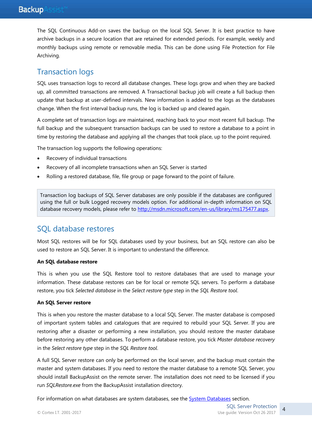The SQL Continuous Add-on saves the backup on the local SQL Server. It is best practice to have archive backups in a secure location that are retained for extended periods. For example, weekly and monthly backups using remote or removable media. This can be done using File Protection for File Archiving.

## Transaction logs

SQL uses transaction logs to record all database changes. These logs grow and when they are backed up, all committed transactions are removed. A Transactional backup job will create a full backup then update that backup at user-defined intervals. New information is added to the logs as the databases change. When the first interval backup runs, the log is backed up and cleared again.

A complete set of transaction logs are maintained, reaching back to your most recent full backup. The full backup and the subsequent transaction backups can be used to restore a database to a point in time by restoring the database and applying all the changes that took place, up to the point required.

The transaction log supports the following operations:

- Recovery of individual transactions
- Recovery of all incomplete transactions when an SQL Server is started
- Rolling a restored database, file, file group or page forward to the point of failure.

Transaction log backups of SQL Server databases are only possible if the databases are configured using the full or bulk Logged recovery models option. For additional in-depth information on SQL database recovery models, please refer t[o http://msdn.microsoft.com/en-us/library/ms175477.aspx.](http://msdn.microsoft.com/en-us/library/ms175477.aspx) 

### SQL database restores

Most SQL restores will be for SQL databases used by your business, but an SQL restore can also be used to restore an SQL Server. It is important to understand the difference.

#### **An SQL database restore**

This is when you use the SQL Restore tool to restore databases that are used to manage your information. These database restores can be for local or remote SQL servers. To perform a database restore, you tick *Selected database* in the *Select restore type* step in the *SQL Restore tool*.

#### **An SQL Server restore**

This is when you restore the master database to a local SQL Server. The master database is composed of important system tables and catalogues that are required to rebuild your SQL Server. If you are restoring after a disaster or performing a new installation, you should restore the master database before restoring any other databases. To perform a database restore, you tick *Master database recovery*  in the *Select restore type* step in the *SQL Restore tool*.

A full SQL Server restore can only be performed on the local server, and the backup must contain the master and system databases. If you need to restore the master database to a remote SQL Server, you should install BackupAssist on the remote server. The installation does not need to be licensed if you run *SQLRestore.exe* from the BackupAssist installation directory.

For information on what databases are system databases, see the **System Databases** section.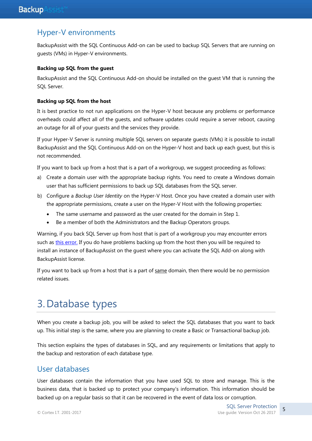### Hyper-V environments

BackupAssist with the SQL Continuous Add-on can be used to backup SQL Servers that are running on guests (VMs) in Hyper-V environments.

#### **Backing up SQL from the guest**

BackupAssist and the SQL Continuous Add-on should be installed on the guest VM that is running the SQL Server.

#### **Backing up SQL from the host**

It is best practice to not run applications on the Hyper-V host because any problems or performance overheads could affect all of the guests, and software updates could require a server reboot, causing an outage for all of your guests and the services they provide.

If your Hyper-V Server is running multiple SQL servers on separate guests (VMs) it is possible to install BackupAssist and the SQL Continuous Add-on on the Hyper-V host and back up each guest, but this is not recommended.

If you want to back up from a host that is a part of a workgroup, we suggest proceeding as follows:

- a) Create a domain user with the appropriate backup rights. You need to create a Windows domain user that has sufficient permissions to back up SQL databases from the SQL server.
- b) Configure a *Backup User Identity* on the Hyper-V Host. Once you have created a domain user with the appropriate permissions, create a user on the Hyper-V Host with the following properties:
	- The same username and password as the user created for the domain in Step 1.
	- Be a member of both the Administrators and the Backup Operators groups.

Warning, if you back SQL Server up from host that is part of a workgroup you may encounter errors such as [this error.](https://www.backupassist.com/support/en/knowledgebase/BA1503-A-connection-could-not-be-made-to-the-SQL-Server-instance.html?Highlight=BA1503) If you do have problems backing up from the host then you will be required to install an instance of BackupAssist on the guest where you can activate the SQL Add-on along with BackupAssist license.

If you want to back up from a host that is a part of same domain, then there would be no permission related issues.

## 3.Database types

When you create a backup job, you will be asked to select the SQL databases that you want to back up. This initial step is the same, where you are planning to create a Basic or Transactional backup job.

This section explains the types of databases in SQL, and any requirements or limitations that apply to the backup and restoration of each database type.

### User databases

User databases contain the information that you have used SQL to store and manage. This is the business data, that is backed up to protect your company's information. This information should be backed up on a regular basis so that it can be recovered in the event of data loss or corruption.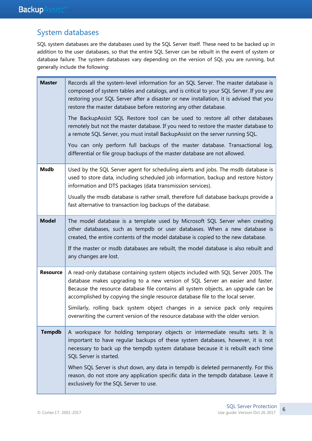## <span id="page-6-0"></span>System databases

SQL system databases are the databases used by the SQL Server itself. These need to be backed up in addition to the user databases, so that the entire SQL Server can be rebuilt in the event of system or database failure. The system databases vary depending on the version of SQL you are running, but generally include the following:

| <b>Master</b>   | Records all the system-level information for an SQL Server. The master database is<br>composed of system tables and catalogs, and is critical to your SQL Server. If you are<br>restoring your SQL Server after a disaster or new installation, it is advised that you<br>restore the master database before restoring any other database.<br>The BackupAssist SQL Restore tool can be used to restore all other databases<br>remotely but not the master database. If you need to restore the master database to<br>a remote SQL Server, you must install BackupAssist on the server running SQL.<br>You can only perform full backups of the master database. Transactional log,<br>differential or file group backups of the master database are not allowed. |
|-----------------|------------------------------------------------------------------------------------------------------------------------------------------------------------------------------------------------------------------------------------------------------------------------------------------------------------------------------------------------------------------------------------------------------------------------------------------------------------------------------------------------------------------------------------------------------------------------------------------------------------------------------------------------------------------------------------------------------------------------------------------------------------------|
| <b>Msdb</b>     | Used by the SQL Server agent for scheduling alerts and jobs. The msdb database is<br>used to store data, including scheduled job information, backup and restore history<br>information and DTS packages (data transmission services).                                                                                                                                                                                                                                                                                                                                                                                                                                                                                                                           |
|                 | Usually the msdb database is rather small, therefore full database backups provide a<br>fast alternative to transaction log backups of the database.                                                                                                                                                                                                                                                                                                                                                                                                                                                                                                                                                                                                             |
| <b>Model</b>    | The model database is a template used by Microsoft SQL Server when creating<br>other databases, such as tempdb or user databases. When a new database is<br>created, the entire contents of the model database is copied to the new database.<br>If the master or msdb databases are rebuilt, the model database is also rebuilt and                                                                                                                                                                                                                                                                                                                                                                                                                             |
|                 | any changes are lost.                                                                                                                                                                                                                                                                                                                                                                                                                                                                                                                                                                                                                                                                                                                                            |
| <b>Resource</b> | A read-only database containing system objects included with SQL Server 2005. The<br>database makes upgrading to a new version of SQL Server an easier and faster.<br>Because the resource database file contains all system objects, an upgrade can be<br>accomplished by copying the single resource database file to the local server.                                                                                                                                                                                                                                                                                                                                                                                                                        |
|                 | Similarly, rolling back system object changes in a service pack only requires<br>overwriting the current version of the resource database with the older version.                                                                                                                                                                                                                                                                                                                                                                                                                                                                                                                                                                                                |
| <b>Tempdb</b>   | A workspace for holding temporary objects or intermediate results sets. It is<br>important to have regular backups of these system databases, however, it is not<br>necessary to back up the tempdb system database because it is rebuilt each time<br>SQL Server is started.                                                                                                                                                                                                                                                                                                                                                                                                                                                                                    |
|                 | When SQL Server is shut down, any data in tempdb is deleted permanently. For this<br>reason, do not store any application specific data in the tempdb database. Leave it<br>exclusively for the SQL Server to use.                                                                                                                                                                                                                                                                                                                                                                                                                                                                                                                                               |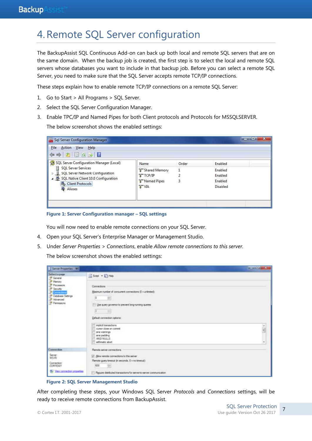## 4.Remote SQL Server configuration

The BackupAssist SQL Continuous Add-on can back up both local and remote SQL servers that are on the same domain. When the backup job is created, the first step is to select the local and remote SQL servers whose databases you want to include in that backup job. Before you can select a remote SQL Server, you need to make sure that the SQL Server accepts remote TCP/IP connections.

These steps explain how to enable remote TCP/IP connections on a remote SQL Server:

- 1. Go to Start > All Programs > SQL Server.
- 2. Select the SQL Server Configuration Manager.
- 3. Enable TPC/IP and Named Pipes for both Client protocols and Protocols for MSSQLSERVER. The below screenshot shows the enabled settings:

| File<br>Action View Help<br>$\Leftrightarrow$ $\triangle$ $\Box$ $\Box$ $\Box$                                                      |                                        |       |                 |  |
|-------------------------------------------------------------------------------------------------------------------------------------|----------------------------------------|-------|-----------------|--|
| SQL Server Configuration Manager (Local)                                                                                            | Name                                   | Order | Enabled         |  |
| <b>SQL Server Services</b><br>Ħ<br>SQL Server Network Configuration<br>4 SQL Native Client 10.0 Configuration<br>县 Client Protocols | Shared Memory                          |       | Enabled         |  |
|                                                                                                                                     | <b>TTCP/IP</b><br><b>T</b> Named Pipes | 2     | Enabled         |  |
|                                                                                                                                     |                                        | 3     | Enabled         |  |
| <b>Aliases</b>                                                                                                                      | <b>T</b> VIA                           |       | <b>Disabled</b> |  |
|                                                                                                                                     |                                        |       |                 |  |

**Figure 1: Server Configuration manager – SQL settings**

You will now need to enable remote connections on your SQL Server.

- 4. Open your SQL Server's Enterprise Manager or Management Studio.
- 5. Under *Server Properties > Connections*, enable *Allow remote connections to this server.*

The below screenshot shows the enabled settings:

| 5 Server Properties - WS                                                                                                    |                                                                                                                                                                                                                                                                                                                                | $\mathbf{r} = \mathbf{r} \cdot \mathbf{r} + \mathbf{r} \cdot \mathbf{r}$ |
|-----------------------------------------------------------------------------------------------------------------------------|--------------------------------------------------------------------------------------------------------------------------------------------------------------------------------------------------------------------------------------------------------------------------------------------------------------------------------|--------------------------------------------------------------------------|
| Select a page<br>General<br>Memory<br>Processors<br>Security<br>Cornections<br>Database Settings<br>Advanced<br>Permissions | Shout . Lithing<br>Connections<br>Maximum number of concurrent connections (0 + unimited):<br>捯<br>田<br>Like query governor to prevent long-running queres<br>岡<br>10<br>Default connection options:<br>implied transactions<br>cursor close on contrat.<br>ansi wamings<br>ans padding<br><b>ANSINULLS</b><br>ertimetic abort | $\overline{\phantom{a}}$<br>۰                                            |
| Connection                                                                                                                  | Rende serve connections                                                                                                                                                                                                                                                                                                        |                                                                          |
| Server:<br>WS-RI<br>Connection <sup>®</sup><br>CDRTEXIT<br>Www.connection.properties                                        | U Alow remote connections to this server<br>Flemote guery timeout (in seconds. 0 = no timeout):<br>patrimoni venera a possessi<br>$\frac{1}{2}$<br>600<br>THE PRESIDENT OF A REAL PROPERTY OF A REAL PROPERTY.<br>Require distributed transactions for server to earver communication.                                         |                                                                          |

**Figure 2: SQL Server Management Studio**

After completing these steps, your Windows SQL Server *Protocols* and *Connections* settings, will be ready to receive remote connections from BackupAssist.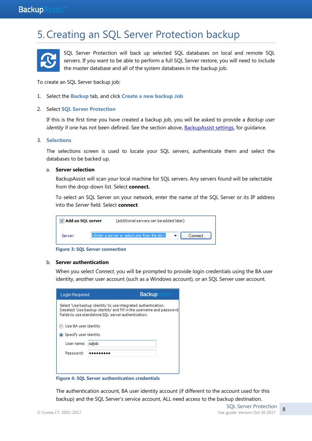## 5.Creating an SQL Server Protection backup



SQL Server Protection will back up selected SQL databases on local and remote SQL servers. If you want to be able to perform a full SQL Server restore, you will need to include the master database and all of the system databases in the backup job.

To create an SQL Server backup job:

- 1. Select the **Backup** tab, and click **Create a new backup Job**
- 2. Select **SQL Server Protection**

If this is the first time you have created a backup job, you will be asked to provide a *Backup user identity* if one has not been defined. See the section above, BackupAssist settings, for quidance.

#### 3. **Selections**

The selections screen is used to locate your SQL servers, authenticate them and select the databases to be backed up.

#### a. **Server selection**

BackupAssist will scan your local machine for SQL servers. Any servers found will be selectable from the drop-down list. Select **connect.**

To select an SQL Server on your network, enter the name of the SQL Server or its IP address into the *Server* field. Select **connect**.

| Add an SQL server |  | (additional servers can be added later)                                      |         |
|-------------------|--|------------------------------------------------------------------------------|---------|
| Server:           |  | <enter a="" from="" list="" one="" or="" select="" server="" the=""></enter> | Connect |

**Figure 3: SQL Server connection**

#### b. **Server authentication**

When you select *Connect*, you will be prompted to provide login credentials using the BA user identity, another user account (such as a Windows account), or an SQL Server user account.

| <b>Login Required</b>                                                                                                                                                                         |  | <b>Backup</b> |  |  |  |  |  |  |
|-----------------------------------------------------------------------------------------------------------------------------------------------------------------------------------------------|--|---------------|--|--|--|--|--|--|
| Select 'Use backup identity' to use integrated authentication.<br>Deselect 'Use backup identity' and fill in the username and password<br>fields to use standalone SOL server authentication. |  |               |  |  |  |  |  |  |
| Use BA user identity                                                                                                                                                                          |  |               |  |  |  |  |  |  |
| Specify user identity                                                                                                                                                                         |  |               |  |  |  |  |  |  |
| saljob<br>User name:                                                                                                                                                                          |  |               |  |  |  |  |  |  |
| Password:                                                                                                                                                                                     |  |               |  |  |  |  |  |  |
|                                                                                                                                                                                               |  |               |  |  |  |  |  |  |
|                                                                                                                                                                                               |  |               |  |  |  |  |  |  |

**Figure 4: SQL Server authentication credentials**

The authentication account, BA user identity account (if different to the account used for this backup) and the SQL Server's service account, ALL need access to the backup destination.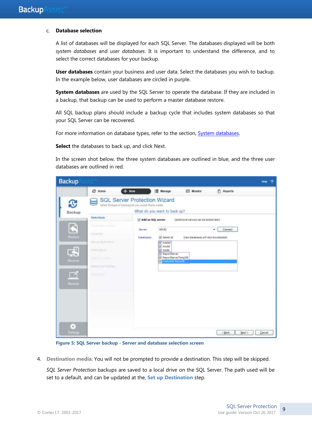#### c. **Database selection**

A list of databases will be displayed for each SQL Server. The databases displayed will be both *system databases* and *user databases*. It is important to understand the difference, and to select the correct databases for your backup.

**User databases** contain your business and user data. Select the databases you wish to backup. In the example below, user databases are circled in purple.

**System databases** are used by the SQL Server to operate the database. If they are included in a backup, that backup can be used to perform a master database restore.

All SQL backup plans should include a backup cycle that includes system databases so that your SQL Server can be recovered.

For more information on database types, refer to the section, **System databases**.

**Select** the databases to back up, and click Next.

In the screen shot below, the three system databases are outlined in blue, and the three user databases are outlined in red.

| <b>Backup</b>                                                          |                                                                                                                                                                   |                                                                                         |                                                                                                                        |                                                                                  |                  | Help<br>$\overline{2}$ |
|------------------------------------------------------------------------|-------------------------------------------------------------------------------------------------------------------------------------------------------------------|-----------------------------------------------------------------------------------------|------------------------------------------------------------------------------------------------------------------------|----------------------------------------------------------------------------------|------------------|------------------------|
|                                                                        | <b>2 Home</b>                                                                                                                                                     | $+$ New                                                                                 | Manage                                                                                                                 | Monitor                                                                          | Reports          |                        |
| <b>B</b><br>Backup                                                     | $\Rightarrow$                                                                                                                                                     | SQL Server Protection Wizard<br>Select the type of backup job you would like to create. | What do you want to back up?                                                                                           |                                                                                  |                  |                        |
| E<br>Renture<br>$\mathbb{R}^n$<br>Hectver<br>■1<br><b>Remale</b><br>ł, | <b>Sulections</b><br>Constitutions for the<br>Sutherman<br>Simp Homing<br><b>NUMBERS</b><br><b>Report Follows</b><br>hame your trailers<br><b>Billian Street,</b> | Add an SQL server<br>Servert<br>Databases:                                              | WS-AT<br>(2) Select all<br>J master<br>W model<br>V msdb<br>V ReportServer<br>2 ReportServerTempOB<br>Customer Records | (additional servers can be added later)<br>(new databases will also be selected) | Connect<br>۰     |                        |
| <b>Bettings</b>                                                        |                                                                                                                                                                   |                                                                                         |                                                                                                                        |                                                                                  | < Back<br>Next > | Cancel                 |

**Figure 5: SQL Server backup - Server and database selection screen**

4. **Destination media**: You will not be prompted to provide a destination. This step will be skipped.

*SQL Server Protection* backups are saved to a local drive on the SQL Server. The path used will be set to a default, and can be updated at the, **Set up Destination** step.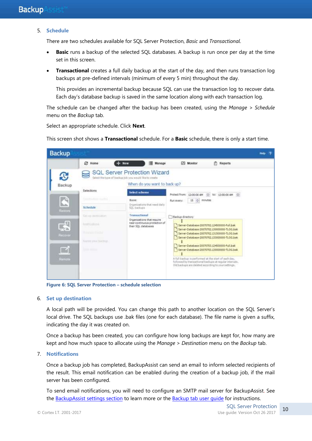#### 5. **Schedule**

There are two schedules available for SQL Server Protection, *Basic* and *Transactional*.

- **Basic** runs a backup of the selected SQL databases. A backup is run once per day at the time set in this screen.
- **Transactional** creates a full daily backup at the start of the day, and then runs transaction log backups at pre-defined intervals (minimum of every 5 min) throughout the day.

This provides an incremental backup because SQL can use the transaction log to recover data. Each day's database backup is saved in the same location along with each transaction log.

The schedule can be changed after the backup has been created, using the *Manage > Schedule* menu on the *Backup* tab.

Select an appropriate schedule. Click **Next**.

This screen shot shows a **Transactional** schedule. For a **Basic** schedule, there is only a start time.



**Figure 6: SQL Server Protection – schedule selection**

#### 6. **Set up destination**

A local path will be provided. You can change this path to another location on the SQL Server's local drive. The SQL backups use .bak files (one for each database). The file name is given a suffix, indicating the day it was created on.

Once a backup has been created, you can configure how long backups are kept for, how many are kept and how much space to allocate using the *Manage* > *Destination* menu on the *Backup* tab.

7. **Notifications**

Once a backup job has completed, BackupAssist can send an email to inform selected recipients of the result. This email notification can be enabled during the creation of a backup job, if the mail server has been configured.

To send email notifications, you will need to configure an SMTP mail server for BackupAssist. See the BackupAssist settings section to learn more or the [Backup tab user guide](http://www.backupassist.com/education/v9/backupassist/backup-tab-guide.html) for instructions.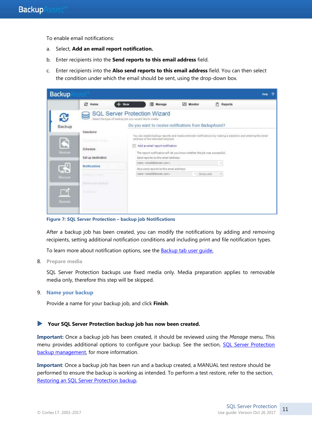To enable email notifications:

- a. Select, **Add an email report notification.**
- b. Enter recipients into the **Send reports to this email address** field.
- c. Enter recipients into the **Also send reports to this email address** field. You can then select the condition under which the email should be sent, using the drop-down box.

| <b>Backup</b>                                                                                                                                                                                                                                                                                                                                                                                                                                                                                                                                                                                                                                                                                                                                                                                                                                                   | Hetp |
|-----------------------------------------------------------------------------------------------------------------------------------------------------------------------------------------------------------------------------------------------------------------------------------------------------------------------------------------------------------------------------------------------------------------------------------------------------------------------------------------------------------------------------------------------------------------------------------------------------------------------------------------------------------------------------------------------------------------------------------------------------------------------------------------------------------------------------------------------------------------|------|
| ø<br>澤<br>Manage<br>Monitor<br>Reports<br>Home<br>New<br>n                                                                                                                                                                                                                                                                                                                                                                                                                                                                                                                                                                                                                                                                                                                                                                                                      |      |
| SQL Server Protection Wizard<br>Select the type of backup job you would like to create<br>Do you want to receive notifications from BackupAssist?<br>Backup<br>Selections:<br>You can enable backup reports and media reminder notifications by making a selection and entering the ensel<br>address of the intended racipient.<br>Ľ<br>Desmonter debts<br>Add an email report notification<br>-2340.11.814<br>Schedule<br>Restore<br>The raport notification will let you know whether the job was successful.<br>Set up destination<br>Send reports to this email address:<br>name <email@domain.com><br/>ුඩු<br/>Notifications.<br/>Also a end reports to this email address:<br/>name ciental@donsan.com&gt;<br/>Errars only<br/>×.<br/><b>Consumer consulting</b><br/>Recover<br/><b>Harteryton biology</b><br/>Hard (Audit)<br/>Rumote</email@domain.com> |      |

**Figure 7: SQL Server Protection – backup job Notifications**

After a backup job has been created, you can modify the notifications by adding and removing recipients, setting additional notification conditions and including print and file notification types.

To learn more about notification options, see the **Backup tab user quide.** 

8. **Prepare media**

SQL Server Protection backups use fixed media only. Media preparation applies to removable media only, therefore this step will be skipped.

9. **Name your backup**

Provide a name for your backup job, and click **Finish**.

#### **Your SQL Server Protection backup job has now been created.**

**Important:** Once a backup job has been created, it should be reviewed using the *Manage* menu. This menu provides additional options to configure your backup. See the section, SQL Server Protection [backup management,](#page-20-0) for more information.

**Important**: Once a backup job has been run and a backup created, a MANUAL test restore should be performed to ensure the backup is working as intended. To perform a test restore, refer to the sectio[n,](#page-12-0) [Restoring an SQL Server Protection backup.](#page-12-0)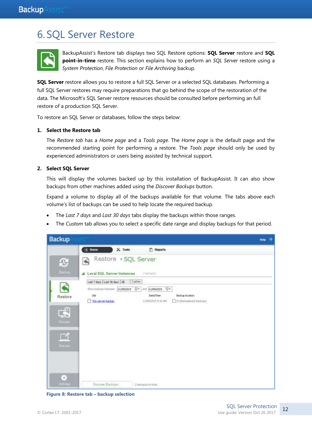## <span id="page-12-0"></span>6. SQL Server Restore



BackupAssist's Restore tab displays two SQL Restore options: **SQL Server** restore and **SQL point-in-time** restore. This section explains how to perform an *SQL Server* restore using a *System Protection*, *File Protection* or *File Archiving* backup.

**SQL Server** restore allows you to restore a full SQL Server or a selected SQL databases. Performing a full SQL Server restores may require preparations that go behind the scope of the restoration of the data. The Microsoft's SQL Server restore resources should be consulted before performing an full restore of a production SQL Server.

To restore an SQL Server or databases, follow the steps below:

#### **1. Select the Restore tab**

The *Restore tab* has a *Home page* and a *Tools page*. The *Home page* is the default page and the recommended starting point for performing a restore. The *Tools page* should only be used by experienced administrators or users being assisted by technical support.

#### **2. Select SQL Server**

This will display the volumes backed up by this installation of BackupAssist. It can also show backups from other machines added using the *Discover Backups* button.

Expand a volume to display all of the backups available for that volume. The tabs above each volume's list of backups can be used to help locate the required backup.

- The *Last 7 days* and *Last 30 days* tabs display the backups within those ranges.
- The *Custom* tab allows you to select a specific date range and display backups for that period.



**Figure 8: Restore tab – backup selection**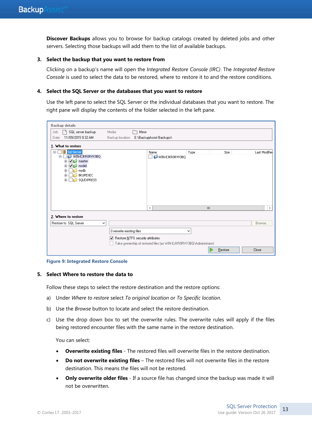**Discover Backups** allows you to browse for backup catalogs created by deleted jobs and other servers. Selecting those backups will add them to the list of available backups.

#### **3. Select the backup that you want to restore from**

Clicking on a backup's name will open the *Integrated Restore Console (IRC)*. The *Integrated Restore Console* is used to select the data to be restored, where to restore it to and the restore conditions.

#### **4. Select the SQL Server or the databases that you want to restore**

Use the left pane to select the SQL Server or the individual databases that you want to restore. The right pane will display the contents of the folder selected in the left pane.

| <b>Backup details</b>                                                     |                                  |                          |                                                                     |              |         |               |
|---------------------------------------------------------------------------|----------------------------------|--------------------------|---------------------------------------------------------------------|--------------|---------|---------------|
| SQL server backup<br>Job:                                                 | Media:                           | Mirror                   |                                                                     |              |         |               |
| 11/09/2015 9:32 AM<br>Date:                                               | Backup location:                 | E:\BackupAssist Backups\ |                                                                     |              |         |               |
| 1. What to restore                                                        |                                  |                          |                                                                     |              |         |               |
| Sgl Server<br>$=$ $-$                                                     |                                  | Name                     | Type                                                                |              | Size    | Last Modified |
| WIN-EJKRORVV3BQ<br><b>TO</b><br>Ėŀ<br>$\overline{\bigcirc}$ master<br>$+$ |                                  | $\vert \ \ \vert$        | WIN-EJKRORVV3BQ                                                     |              |         |               |
| $\nabla$ model<br>$\overline{+}$                                          |                                  |                          |                                                                     |              |         |               |
| msdb<br>$\overline{+}$<br><b>BKUPEXEC</b><br>$+$                          |                                  |                          |                                                                     |              |         |               |
| <b>SQLEXPRESS</b><br>$+$                                                  |                                  |                          |                                                                     |              |         |               |
|                                                                           |                                  |                          |                                                                     |              |         |               |
|                                                                           |                                  |                          |                                                                     |              |         |               |
|                                                                           |                                  |                          |                                                                     |              |         |               |
|                                                                           |                                  | $\,<$                    |                                                                     | $\mathbf{H}$ |         | $\,>\,$       |
| 2. Where to restore                                                       |                                  |                          |                                                                     |              |         |               |
| Restore to SQL Server<br>v                                                |                                  |                          |                                                                     |              |         | Browse        |
|                                                                           | Overwrite existing files         |                          | v                                                                   |              |         |               |
|                                                                           | Restore NTFS security attributes |                          |                                                                     |              |         |               |
|                                                                           |                                  |                          | Take ownership of restored files (as WIN-EJKRORVV3BQ\Administrator) |              |         |               |
|                                                                           |                                  |                          |                                                                     |              | Restore | Close         |

**Figure 9: Integrated Restore Console**

#### **5. Select Where to restore the data to**

Follow these steps to select the restore destination and the restore options:

- a) Under *Where to restore* select *To original location* or *To Specific location*.
- b) Use the *Browse* button to locate and select the restore destination.
- c) Use the drop down box to set the overwrite rules. The overwrite rules will apply if the files being restored encounter files with the same name in the restore destination.

You can select:

- **Overwrite existing files** The restored files will overwrite files in the restore destination.
- **Do not overwrite existing files** The restored files will not overwrite files in the restore destination. This means the files will not be restored.
- **Only overwrite older files** If a source file has changed since the backup was made it will not be overwritten.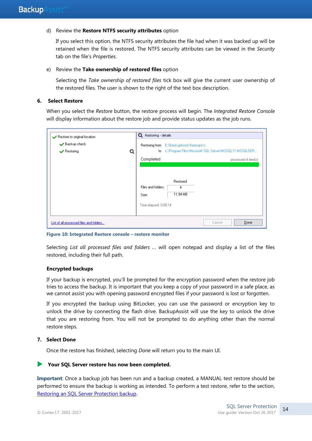#### d) Review the **Restore NTFS security attributes** option

If you select this option, the NTFS security attributes the file had when it was backed up will be retained when the file is restored. The NTFS security attributes can be viewed in the *Security* tab on the file's *Properties.*

#### e) Review the **Take ownership of restored files** option

Selecting the *Take ownership of restored files* tick box will give the current user ownership of the restored files. The user is shown to the right of the text box description.

#### **6. Select Restore**

When you select the *Restore* button, the restore process will begin. The *Integrated Restore Console*  will display information about the restore job and provide status updates as the job runs.

| Restore to original location<br>Backup check<br>$\blacktriangleright$ Restoring | Q | Q Restoring - details<br>to . | Restoring from E:\BackupAssist Backups\c | [c:\Program Files\Microsoft SQL Server\MSSQL11.MSSQLSER] |                     |
|---------------------------------------------------------------------------------|---|-------------------------------|------------------------------------------|----------------------------------------------------------|---------------------|
|                                                                                 |   | Completed                     |                                          |                                                          | processed 4 item(s) |
|                                                                                 |   | Files and folders:<br>Size:   | Restored:<br>4<br>11.94 MB               |                                                          |                     |
| List of all processed files and folders                                         |   | Time elapsed: 0:00:14         |                                          | Cancel                                                   | Done                |

**Figure 10: Integrated Restore console – restore monitor**

Selecting *List all processed files and folders …* will open notepad and display a list of the files restored, including their full path.

#### **Encrypted backups**

If your backup is encrypted, you'll be prompted for the encryption password when the restore job tries to access the backup. It is important that you keep a copy of your password in a safe place, as we cannot assist you with opening password encrypted files if your password is lost or forgotten.

If you encrypted the backup using BitLocker, you can use the password or encryption key to unlock the drive by connecting the flash drive. BackupAssist will use the key to unlock the drive that you are restoring from. You will not be prompted to do anything other than the normal restore steps.

#### **7. Select Done**

Once the restore has finished, selecting *Done* will return you to the main UI.

#### **Your SQL Server restore has now been completed.**

**Important**: Once a backup job has been run and a backup created, a MANUAL test restore should be performed to ensure the backup is working as intended. To perform a test restore, refer to the sectio[n,](#page-12-0) [Restoring an SQL Server Protection backup.](#page-12-0)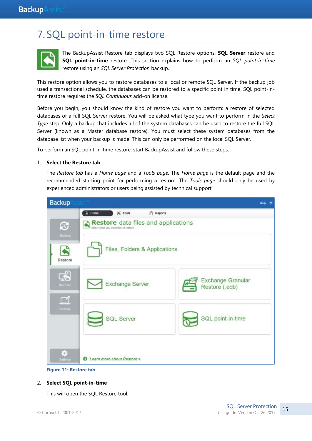## 7. SQL point-in-time restore



The BackupAssist Restore tab displays two SQL Restore options: **SQL Server** restore and **SQL point-in-time** restore. This section explains how to perform an *SQL point-in-time* restore using an *SQL Server Protection* backup.

This restore option allows you to restore databases to a local or remote SQL Server. If the backup job used a transactional schedule, the databases can be restored to a specific point in time. SQL point-intime restore requires the *SQL Continuous* add-on license.

Before you begin, you should know the kind of restore you want to perform: a restore of selected databases or a full SQL Server restore. You will be asked what type you want to perform in the *Select Type* step. Only a backup that includes all of the system databases can be used to restore the full SQL Server (known as a Master database restore). You must select these system databases from the database list when your backup is made. This can only be performed on the local SQL Server.

To perform an SQL point-in-time restore, start BackupAssist and follow these steps:

#### 1. **Select the Restore tab**

The *Restore tab* has a *Home page* and a *Tools page*. The *Home page* is the default page and the recommended starting point for performing a restore. The *Tools page* should only be used by experienced administrators or users being assisted by technical support.





#### 2. **Select SQL point-in-time**

This will open the SQL Restore tool.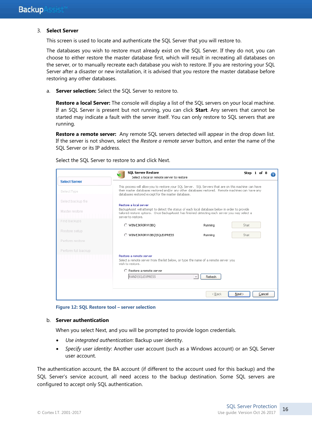#### 3. **Select Server**

This screen is used to locate and authenticate the SQL Server that you will restore to.

The databases you wish to restore must already exist on the SQL Server. If they do not, you can choose to either restore the master database first, which will result in recreating all databases on the server, or to manually recreate each database you wish to restore. If you are restoring your SQL Server after a disaster or new installation, it is advised that you restore the master database before restoring any other databases.

a. **Server selection:** Select the SQL Server to restore to.

**Restore a local Server:** The console will display a list of the SQL servers on your local machine. If an SQL Server is present but not running, you can click **Start**. Any servers that cannot be started may indicate a fault with the server itself. You can only restore to SQL servers that are running.

Restore a remote server: Any remote SQL servers detected will appear in the drop down list. If the server is not shown, select the *Restore a remote server* button, and enter the name of the SQL Server or its IP address.

Select the SQL Server to restore to and click Next.

|                      | <b>SOL Server Restore</b>                                                                                                                                                                                                                                        |         | Step 1 of 8      |
|----------------------|------------------------------------------------------------------------------------------------------------------------------------------------------------------------------------------------------------------------------------------------------------------|---------|------------------|
| <b>Select Server</b> | Select a local or remote server to restore                                                                                                                                                                                                                       |         |                  |
| Select Type          | This process will allow you to restore your SOL Server. SOL Servers that are on this machine can have<br>their master databases restored and/or any other databases restored. Remote machines can have any<br>databases restored except for the master database. |         |                  |
| Select backup file   |                                                                                                                                                                                                                                                                  |         |                  |
| Master restore       | Restore a local server<br>BackupAssist will attempt to detect the status of each local database below in order to provide<br>tailored restore options,Once BackupAssist has finished detecting each server you may select a<br>server to restore.                |         |                  |
| Find backups         | O WIN-EJKRORVV3BO                                                                                                                                                                                                                                                | Running | Start            |
| Restore setup        |                                                                                                                                                                                                                                                                  |         |                  |
|                      | WIN-EJKRORVV3BQ\SQLEXPRESS                                                                                                                                                                                                                                       | Running | Start            |
| Perform restore      |                                                                                                                                                                                                                                                                  |         |                  |
| Perform full backup  |                                                                                                                                                                                                                                                                  |         |                  |
|                      | Restore a remote server<br>Select a remote server from the list below, or type the name of a remote server you<br>wish to restore.                                                                                                                               |         |                  |
|                      | $\bigcap$ Reshore a remote server                                                                                                                                                                                                                                |         |                  |
|                      | RAND\SQLEXPRESS                                                                                                                                                                                                                                                  | Refresh |                  |
|                      |                                                                                                                                                                                                                                                                  |         |                  |
|                      |                                                                                                                                                                                                                                                                  | < Back  | Next ><br>Cancel |
|                      |                                                                                                                                                                                                                                                                  |         |                  |

**Figure 12: SQL Restore tool – server selection**

#### b. **Server authentication**

When you select Next, and you will be prompted to provide logon credentials.

- *Use integrated authentication*: Backup user identity.
- *Specify user identity*: Another user account (such as a Windows account) or an SQL Server user account.

The authentication account, the BA account (if different to the account used for this backup) and the SQL Server's service account, all need access to the backup destination. Some SQL servers are configured to accept only SQL authentication.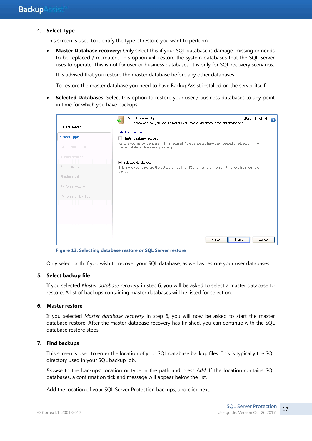#### 4. **Select Type**

This screen is used to identify the type of restore you want to perform.

**Master Database recovery:** Only select this if your SQL database is damage, missing or needs to be replaced / recreated. This option will restore the system databases that the SQL Server uses to operate. This is not for user or business databases; it is only for SQL recovery scenarios.

It is advised that you restore the master database before any other databases.

To restore the master database you need to have BackupAssist installed on the server itself.

**Selected Databases:** Select this option to restore your user / business databases to any point in time for which you have backups.

|                     | Select restore type<br>Step 2 of 8<br>Choose whether you want to restore your master database, other databases or E                                 |
|---------------------|-----------------------------------------------------------------------------------------------------------------------------------------------------|
| Select Server       |                                                                                                                                                     |
|                     | Select restore type:                                                                                                                                |
| <b>Select Type</b>  | Master database recovery                                                                                                                            |
| Select backup file  | Restore you master database. This is required if the databases have been deleted or added, or if the<br>master database file is missing or corrupt. |
| Master restore      | $\overline{\mathbf{V}}$ Selected databases:                                                                                                         |
| Find backups        | This allows you to restore the databases within an SQL server to any point in time for which you have<br>backups.                                   |
| Restore setup       |                                                                                                                                                     |
| Perform restore     |                                                                                                                                                     |
| Perform full backup |                                                                                                                                                     |
|                     |                                                                                                                                                     |
|                     |                                                                                                                                                     |
|                     |                                                                                                                                                     |
|                     |                                                                                                                                                     |
|                     | Cancel<br>Next ><br>< Back                                                                                                                          |

**Figure 13: Selecting database restore or SQL Server restore**

Only select both if you wish to recover your SQL database, as well as restore your user databases.

#### **5. Select backup file**

If you selected *Master database recovery* in step 6, you will be asked to select a master database to restore. A list of backups containing master databases will be listed for selection.

#### **6. Master restore**

If you selected *Master database recovery* in step 6, you will now be asked to start the master database restore. After the master database recovery has finished, you can continue with the SQL database restore steps.

#### **7. Find backups**

This screen is used to enter the location of your SQL database backup files. This is typically the SQL directory used in your SQL backup job.

*Browse* to the backups' location or type in the path and press *Add*. If the location contains SQL databases, a confirmation tick and message will appear below the list.

Add the location of your SQL Server Protection backups, and click next.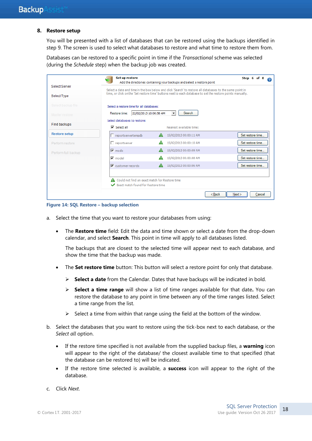#### **8. Restore setup**

You will be presented with a list of databases that can be restored using the backups identified in step 9. The screen is used to select what databases to restore and what time to restore them from.

Databases can be restored to a specific point in time if the *Transactional* scheme was selected (during the *Schedule* step) when the backup job was created.

|                                     | Set up restore                                                                                                                                                                                                         | Add the directories containing your backups and select a restore point | Step 6 of 8       |
|-------------------------------------|------------------------------------------------------------------------------------------------------------------------------------------------------------------------------------------------------------------------|------------------------------------------------------------------------|-------------------|
| Select Server<br><b>Select Type</b> | Select a date and time in the box below and click 'Search' to restore all databases to the same point in<br>time, or click on the 'Set restore time' buttons next to each database to set the restore points manually. |                                                                        |                   |
| Select backup file                  | Select a restore time for all databases:                                                                                                                                                                               |                                                                        |                   |
| Master restore                      | 22/02/2013 10:06:56 AM<br>Restore time:                                                                                                                                                                                | <b>Search</b><br>$\overline{\phantom{a}}$                              |                   |
| Find backups                        | Select databases to restore:<br>$\nabla$ Select all                                                                                                                                                                    | Nearest available time:                                                |                   |
| <b>Restore setup</b>                | $\Box$ reports ervertempdb                                                                                                                                                                                             | 15/02/2013 00:00:11 AM                                                 | Set restore time  |
| Perform restore                     | $\Box$ reportserver                                                                                                                                                                                                    | 15/02/2013 00:00:10 AM                                                 | Set restore time. |
| Perform full backup                 | $\nabla$ msdb                                                                                                                                                                                                          | 15/02/2013 00:00:09 AM                                                 | Set restore time  |
|                                     | $\nabla$ model                                                                                                                                                                                                         | 15/02/2013 00:00:08 AM                                                 | Set restore time  |
|                                     | $\nabla$ customer records                                                                                                                                                                                              | 15/02/2013 00:00:06 AM                                                 | Set restore time  |
|                                     | Could not find an exact match for Restore time<br>Exact match found for Restore time                                                                                                                                   |                                                                        |                   |
|                                     |                                                                                                                                                                                                                        | $Back$                                                                 | Next<br>Cancel    |

**Figure 14: SQL Restore – backup selection**

- a. Select the time that you want to restore your databases from using:
	- The **Restore time** field: Edit the data and time shown or select a date from the drop-down calendar, and select **Search**. This point in time will apply to all databases listed.

The backups that are closest to the selected time will appear next to each database, and show the time that the backup was made.

- The **Set restore time** button: This button will select a restore point for only that database.
	- **Select a date** from the Calendar. Dates that have backups will be indicated in bold.
	- **Select a time range** will show a list of time ranges available for that date**.** You can restore the database to any point in time between any of the time ranges listed. Select a time range from the list.
	- $\triangleright$  Select a time from within that range using the field at the bottom of the window.
- b. Select the databases that you want to restore using the tick-box next to each database, or the *Select all* option.
	- If the restore time specified is not available from the supplied backup files, a **warning** icon will appear to the right of the database/ the closest available time to that specified (that the database can be restored to) will be indicated.
	- If the restore time selected is available, a **success** icon will appear to the right of the database.
- c. Click *Next*.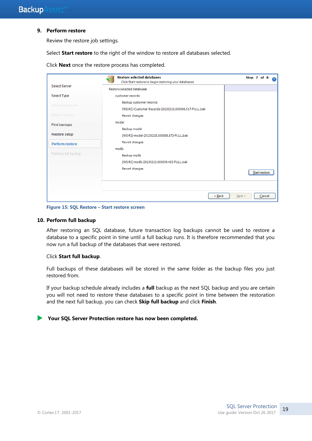#### **9. Perform restore**

Review the restore job settings.

Select **Start restore** to the right of the window to restore all databases selected.

|                      | <b>Restore selected databases</b><br>Click Start restore to begin restoring your databases | Step 7 of 8    |
|----------------------|--------------------------------------------------------------------------------------------|----------------|
| <b>Select Server</b> | Restore selected databases                                                                 |                |
| Select Type          | customer records                                                                           |                |
| Select backup file   | Backup customer records<br>(WS-RI)-Customer Records-20130215.000006.517-FULL.bak           |                |
| Master restore       | Revert changes                                                                             |                |
| Find backups         | model<br>Backup model                                                                      |                |
| Restore setup        | (WS-RI)-model-20130215.000008.873-FULL.bak                                                 |                |
| Perform restore      | Revert changes<br>msdb                                                                     |                |
| Perform full backup  | Backup msdb<br>(WS-RI)-msdb-20130215.000009.403-FULL.bak<br>Revert changes                 | Start restore  |
|                      | $Back$                                                                                     | Cancel<br>Next |

Click **Next** once the restore process has completed.

**Figure 15: SQL Restore – Start restore screen**

#### **10. Perform full backup**

After restoring an SQL database, future transaction log backups cannot be used to restore a database to a specific point in time until a full backup runs. It is therefore recommended that you now run a full backup of the databases that were restored.

#### Click **Start full backup**.

Full backups of these databases will be stored in the same folder as the backup files you just restored from.

If your backup schedule already includes a **full** backup as the next SQL backup and you are certain you will not need to restore these databases to a specific point in time between the restoration and the next full backup, you can check **Skip full backup** and click **Finish**.

**Your SQL Server Protection restore has now been completed.**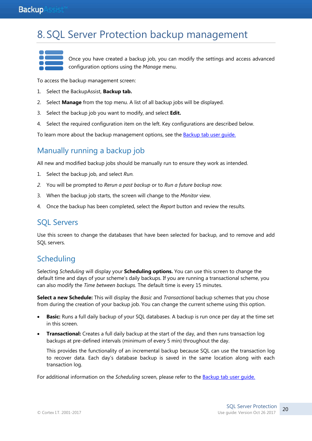### **Backup**Assist

## <span id="page-20-0"></span>8. SQL Server Protection backup management

Once you have created a backup job, you can modify the settings and access advanced configuration options using the *Manage* menu.

To access the backup management screen:

- 1. Select the BackupAssist, **Backup tab.**
- 2. Select **Manage** from the top menu. A list of all backup jobs will be displayed.
- 3. Select the backup job you want to modify, and select **Edit.**
- 4. Select the required configuration item on the left. Key configurations are described below.

To learn more about the backup management options, see the **Backup tab user quide.** 

## Manually running a backup job

All new and modified backup jobs should be manually run to ensure they work as intended.

- 1. Select the backup job, and select *Run.*
- *2.* You will be prompted to *Rerun a past backup* or to *Run a future backup now.*
- 3. When the backup job starts, the screen will change to the *Monitor* view.
- 4. Once the backup has been completed, select the *Report* button and review the results.

### SQL Servers

Use this screen to change the databases that have been selected for backup, and to remove and add SQL servers.

## **Scheduling**

Selecting *Scheduling* will display your **Scheduling options.** You can use this screen to change the default time and days of your scheme's daily backups. If you are running a transactional scheme, you can also modify the *Time between backups.* The default time is every 15 minutes.

**Select a new Schedule:** This will display the *Basic* and *Transactional* backup schemes that you chose from during the creation of your backup job. You can change the current scheme using this option.

- **Basic:** Runs a full daily backup of your SQL databases. A backup is run once per day at the time set in this screen.
- **Transactional:** Creates a full daily backup at the start of the day, and then runs transaction log backups at pre-defined intervals (minimum of every 5 min) throughout the day.

This provides the functionality of an incremental backup because SQL can use the transaction log to recover data. Each day's database backup is saved in the same location along with each transaction log.

For additional information on the *Scheduling* screen, please refer to the [Backup tab user guide.](http://www.backupassist.com/education/v9/backupassist/backup-tab-guide.html)